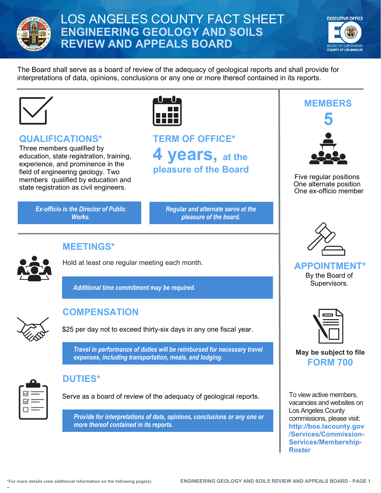

## LOS ANGELES COUNTY FACT SHEET **ENGINEERING GEOLOGY AND SOILS REVIEW AND APPEALS BOARD**



The Board shall serve as a board of review of the adequacy of geological reports and shall provide for interpretations of data, opinions, conclusions or any one or more thereof contained in its reports.



### **QUALIFICATIONS\***

Three members qualified by education, state registration, training, experience, and prominence in the field of engineering geology. Two members qualified by education and state registration as civil engineers.

> *Ex-officio is the Director of Public Works.*



# **TERM OF OFFICE\* 4 years, at the pleasure of the Board**

*Regular and alternate serve at the pleasure of the board.*



**MEETINGS\***

Hold at least one regular meeting each month.

*Additional time commitment may be required.*



### **COMPENSATION**

\$25 per day not to exceed thirty-six days in any one fiscal year.

*Travel in performance of duties will be reimbursed for necessary travel expenses, including transportation, meals, and lodging.* 



### **DUTIES\***

Serve as a board of review of the adequacy of geological reports.

*Provide for interpretations of data, opinions, conclusions or any one or more thereof contained in its reports.*



Five regular positions One alternate position One ex-officio member



**APPOINTMENT\*** By the Board of Supervisors.



**May be subject to file FORM 700**

To view active members, vacancies and websites on Los Angeles County commissions, please visit: **[http://bos.lacounty.gov](http://bos.lacounty.gov/Services/Commission-Services/Membership-Roster) [/Services/Commission-](http://bos.lacounty.gov/Services/Commission-Services/Membership-Roster)[Services/Membership-](http://bos.lacounty.gov/Services/Commission-Services/Membership-Roster)[Roster](http://bos.lacounty.gov/Services/Commission-Services/Membership-Roster)**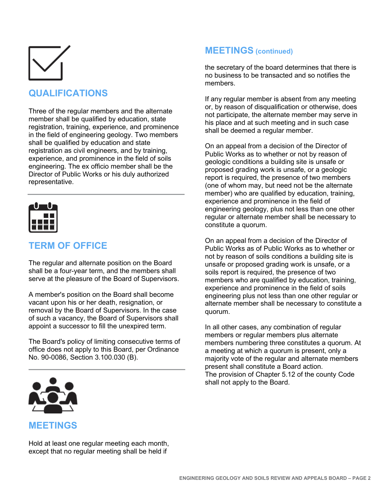

## **QUALIFICATIONS**

Three of the regular members and the alternate member shall be qualified by education, state registration, training, experience, and prominence in the field of engineering geology. Two members shall be qualified by education and state registration as civil engineers, and by training, experience, and prominence in the field of soils engineering. The ex officio member shall be the Director of Public Works or his duly authorized representative.



## **TERM OF OFFICE**

The regular and alternate position on the Board shall be a four-year term, and the members shall serve at the pleasure of the Board of Supervisors.

A member's position on the Board shall become vacant upon his or her death, resignation, or removal by the Board of Supervisors. In the case of such a vacancy, the Board of Supervisors shall appoint a successor to fill the unexpired term.

The Board's policy of limiting consecutive terms of office does not apply to this Board, per Ordinance No. 90-0086, Section 3.100.030 (B).



#### **MEETINGS**

Hold at least one regular meeting each month, except that no regular meeting shall be held if

#### **MEETINGS (continued)**

the secretary of the board determines that there is no business to be transacted and so notifies the members.

If any regular member is absent from any meeting or, by reason of disqualification or otherwise, does not participate, the alternate member may serve in his place and at such meeting and in such case shall be deemed a regular member.

On an appeal from a decision of the Director of Public Works as to whether or not by reason of geologic conditions a building site is unsafe or proposed grading work is unsafe, or a geologic report is required, the presence of two members (one of whom may, but need not be the alternate member) who are qualified by education, training, experience and prominence in the field of engineering geology, plus not less than one other regular or alternate member shall be necessary to constitute a quorum.

On an appeal from a decision of the Director of Public Works as of Public Works as to whether or not by reason of soils conditions a building site is unsafe or proposed grading work is unsafe, or a soils report is required, the presence of two members who are qualified by education, training, experience and prominence in the field of soils engineering plus not less than one other regular or alternate member shall be necessary to constitute a quorum.

In all other cases, any combination of regular members or regular members plus alternate members numbering three constitutes a quorum. At a meeting at which a quorum is present, only a majority vote of the regular and alternate members present shall constitute a Board action. The provision of Chapter 5.12 of the county Code shall not apply to the Board.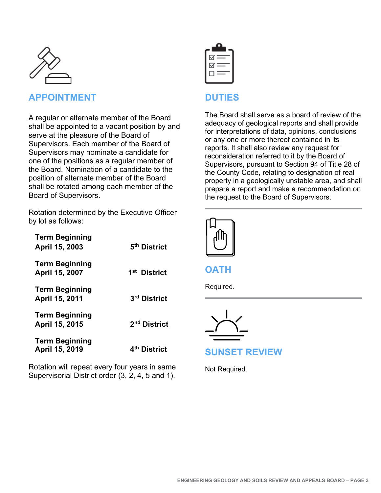

#### **APPOINTMENT**

A regular or alternate member of the Board shall be appointed to a vacant position by and serve at the pleasure of the Board of Supervisors. Each member of the Board of Supervisors may nominate a candidate for one of the positions as a regular member of the Board. Nomination of a candidate to the position of alternate member of the Board shall be rotated among each member of the Board of Supervisors.

Rotation determined by the Executive Officer by lot as follows:

| <b>Term Beginning</b><br>April 15, 2003 | 5 <sup>th</sup> District |
|-----------------------------------------|--------------------------|
| <b>Term Beginning</b><br>April 15, 2007 | 1 <sup>st</sup> District |
| <b>Term Beginning</b><br>April 15, 2011 | 3 <sup>rd</sup> District |
| <b>Term Beginning</b><br>April 15, 2015 | 2 <sup>nd</sup> District |
| <b>Term Beginning</b><br>April 15, 2019 | 4 <sup>th</sup> District |

Rotation will repeat every four years in same Supervisorial District order (3, 2, 4, 5 and 1).



#### **DUTIES**

The Board shall serve as a board of review of the adequacy of geological reports and shall provide for interpretations of data, opinions, conclusions or any one or more thereof contained in its reports. It shall also review any request for reconsideration referred to it by the Board of Supervisors, pursuant to Section 94 of Title 28 of the County Code, relating to designation of real property in a geologically unstable area, and shall prepare a report and make a recommendation on the request to the Board of Supervisors.



**OATH**

Required.



**SUNSET REVIEW**

Not Required.